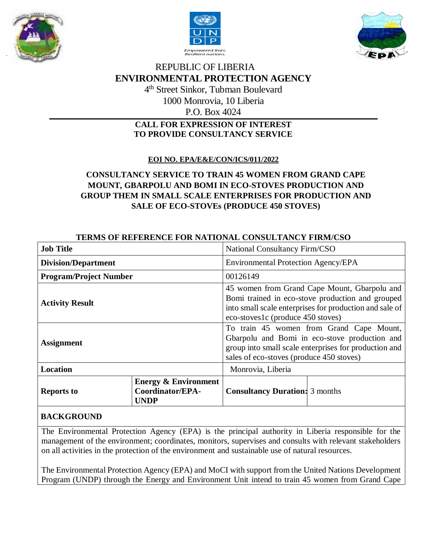





# REPUBLIC OF LIBERIA **ENVIRONMENTAL PROTECTION AGENCY** 4 th Street Sinkor, Tubman Boulevard 1000 Monrovia, 10 Liberia P.O. Box 4024

## **CALL FOR EXPRESSION OF INTEREST TO PROVIDE CONSULTANCY SERVICE**

# **EOI NO. EPA/E&E/CON/ICS/011/2022**

# **CONSULTANCY SERVICE TO TRAIN 45 WOMEN FROM GRAND CAPE MOUNT, GBARPOLU AND BOMI IN ECO-STOVES PRODUCTION AND GROUP THEM IN SMALL SCALE ENTERPRISES FOR PRODUCTION AND SALE OF ECO-STOVEs (PRODUCE 450 STOVES)**

| <b>Job Title</b>              |                                                                    | National Consultancy Firm/CSO                                                                                                                                                                    |  |
|-------------------------------|--------------------------------------------------------------------|--------------------------------------------------------------------------------------------------------------------------------------------------------------------------------------------------|--|
| <b>Division/Department</b>    |                                                                    | <b>Environmental Protection Agency/EPA</b>                                                                                                                                                       |  |
| <b>Program/Project Number</b> |                                                                    | 00126149                                                                                                                                                                                         |  |
| <b>Activity Result</b>        |                                                                    | 45 women from Grand Cape Mount, Gbarpolu and<br>Bomi trained in eco-stove production and grouped<br>into small scale enterprises for production and sale of<br>eco-stoves1c (produce 450 stoves) |  |
| <b>Assignment</b>             |                                                                    | To train 45 women from Grand Cape Mount,<br>Gbarpolu and Bomi in eco-stove production and<br>group into small scale enterprises for production and<br>sales of eco-stoves (produce 450 stoves)   |  |
| <b>Location</b>               |                                                                    | Monrovia, Liberia                                                                                                                                                                                |  |
| <b>Reports to</b>             | <b>Energy &amp; Environment</b><br>Coordinator/EPA-<br><b>UNDP</b> | <b>Consultancy Duration:</b> 3 months                                                                                                                                                            |  |

## **TERMS OF REFERENCE FOR NATIONAL CONSULTANCY FIRM/CSO**

# **BACKGROUND**

The Environmental Protection Agency (EPA) is the principal authority in Liberia responsible for the management of the environment; coordinates, monitors, supervises and consults with relevant stakeholders on all activities in the protection of the environment and sustainable use of natural resources.

The Environmental Protection Agency (EPA) and MoCI with support from the United Nations Development Program (UNDP) through the Energy and Environment Unit intend to train 45 women from Grand Cape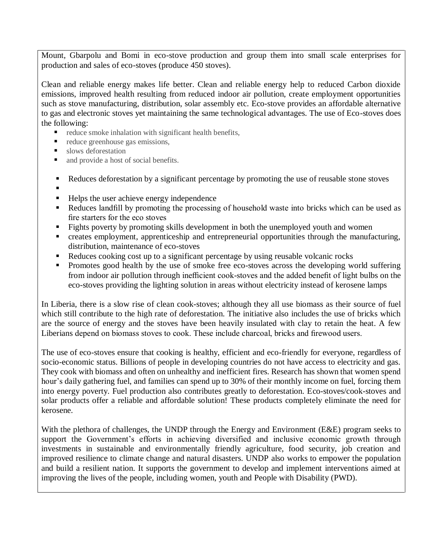Mount, Gbarpolu and Bomi in eco-stove production and group them into small scale enterprises for production and sales of eco-stoves (produce 450 stoves).

Clean and reliable energy makes life better. Clean and reliable energy help to reduced Carbon dioxide emissions, improved health resulting from reduced indoor air pollution, create employment opportunities such as stove manufacturing, distribution, solar assembly etc. Eco-stove provides an affordable alternative to gas and electronic stoves yet maintaining the same technological advantages. The use of Eco-stoves does the following:

- reduce smoke inhalation with significant health benefits,
- reduce greenhouse gas emissions,
- slows deforestation
- and provide a host of social benefits.
- Reduces deforestation by a significant percentage by promoting the use of reusable stone stoves
- .
- Helps the user achieve energy independence
- Reduces landfill by promoting the processing of household waste into bricks which can be used as fire starters for the eco stoves
- Fights poverty by promoting skills development in both the unemployed youth and women
- creates employment, apprenticeship and entrepreneurial opportunities through the manufacturing, distribution, maintenance of eco-stoves
- Reduces cooking cost up to a significant percentage by using reusable volcanic rocks
- Promotes good health by the use of smoke free eco-stoves across the developing world suffering from indoor air pollution through inefficient cook-stoves and the added benefit of light bulbs on the eco-stoves providing the lighting solution in areas without electricity instead of kerosene lamps

In Liberia, there is a slow rise of clean cook-stoves; although they all use biomass as their source of fuel which still contribute to the high rate of deforestation. The initiative also includes the use of bricks which are the source of energy and the stoves have been heavily insulated with clay to retain the heat. A few Liberians depend on biomass stoves to cook. These include charcoal, bricks and firewood users.

The use of eco-stoves ensure that cooking is healthy, efficient and eco-friendly for everyone, regardless of socio-economic status. Billions of people in developing countries do not have access to electricity and gas. They cook with biomass and often on unhealthy and inefficient fires. Research has shown that women spend hour's daily gathering fuel, and families can spend up to 30% of their monthly income on fuel, forcing them into energy poverty. Fuel production also contributes greatly to deforestation. Eco-stoves/cook-stoves and solar products offer a reliable and affordable solution! These products completely eliminate the need for kerosene.

With the plethora of challenges, the UNDP through the Energy and Environment (E&E) program seeks to support the Government's efforts in achieving diversified and inclusive economic growth through investments in sustainable and environmentally friendly agriculture, food security, job creation and improved resilience to climate change and natural disasters. UNDP also works to empower the population and build a resilient nation. It supports the government to develop and implement interventions aimed at improving the lives of the people, including women, youth and People with Disability (PWD).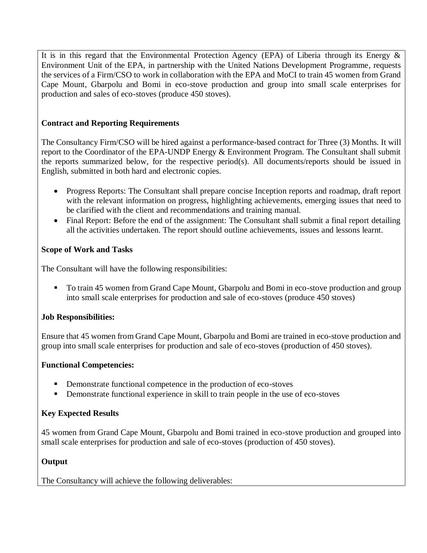It is in this regard that the Environmental Protection Agency (EPA) of Liberia through its Energy  $\&$ Environment Unit of the EPA, in partnership with the United Nations Development Programme, requests the services of a Firm/CSO to work in collaboration with the EPA and MoCI to train 45 women from Grand Cape Mount, Gbarpolu and Bomi in eco-stove production and group into small scale enterprises for production and sales of eco-stoves (produce 450 stoves).

## **Contract and Reporting Requirements**

The Consultancy Firm/CSO will be hired against a performance-based contract for Three (3) Months. It will report to the Coordinator of the EPA-UNDP Energy & Environment Program. The Consultant shall submit the reports summarized below, for the respective period(s). All documents/reports should be issued in English, submitted in both hard and electronic copies.

- Progress Reports: The Consultant shall prepare concise Inception reports and roadmap, draft report with the relevant information on progress, highlighting achievements, emerging issues that need to be clarified with the client and recommendations and training manual.
- Final Report: Before the end of the assignment: The Consultant shall submit a final report detailing all the activities undertaken. The report should outline achievements, issues and lessons learnt.

### **Scope of Work and Tasks**

The Consultant will have the following responsibilities:

 To train 45 women from Grand Cape Mount, Gbarpolu and Bomi in eco-stove production and group into small scale enterprises for production and sale of eco-stoves (produce 450 stoves)

## **Job Responsibilities:**

Ensure that 45 women from Grand Cape Mount, Gbarpolu and Bomi are trained in eco-stove production and group into small scale enterprises for production and sale of eco-stoves (production of 450 stoves).

### **Functional Competencies:**

- Demonstrate functional competence in the production of eco-stoves
- Demonstrate functional experience in skill to train people in the use of eco-stoves

### **Key Expected Results**

45 women from Grand Cape Mount, Gbarpolu and Bomi trained in eco-stove production and grouped into small scale enterprises for production and sale of eco-stoves (production of 450 stoves).

### **Output**

The Consultancy will achieve the following deliverables: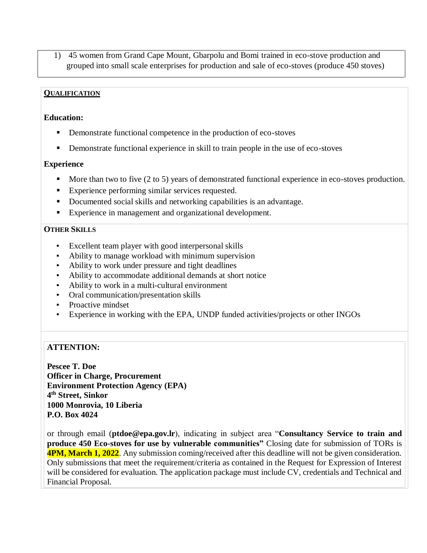1) 45 women from Grand Cape Mount, Gbarpolu and Bomi trained in eco-stove production and grouped into small scale enterprises for production and sale of eco-stoves (produce 450 stoves)

#### **QUALIFICATION**

#### **Education:**

- Demonstrate functional competence in the production of eco-stoves
- Demonstrate functional experience in skill to train people in the use of eco-stoves

#### **Experience**

- More than two to five (2 to 5) years of demonstrated functional experience in eco-stoves production.
- Experience performing similar services requested.
- Documented social skills and networking capabilities is an advantage.
- Experience in management and organizational development.

#### **OTHER SKILLS**

- Excellent team player with good interpersonal skills
- Ability to manage workload with minimum supervision
- Ability to work under pressure and tight deadlines
- Ability to accommodate additional demands at short notice
- Ability to work in a multi-cultural environment
- Oral communication/presentation skills
- **•** Proactive mindset
- Experience in working with the EPA, UNDP funded activities/projects or other INGOs

### **ATTENTION:**

**Pescee T. Doe Officer in Charge, Procurement Environment Protection Agency (EPA) 4 th Street, Sinkor 1000 Monrovia, 10 Liberia P.O. Box 4024**

or through email (**ptdoe@epa.gov.lr**), indicating in subject area "**Consultancy Service to train and produce 450 Eco-stoves for use by vulnerable communities"** Closing date for submission of TORs is **4PM, March 1, 2022**. Any submission coming/received after this deadline will not be given consideration. Only submissions that meet the requirement/criteria as contained in the Request for Expression of Interest will be considered for evaluation. The application package must include CV, credentials and Technical and Financial Proposal.